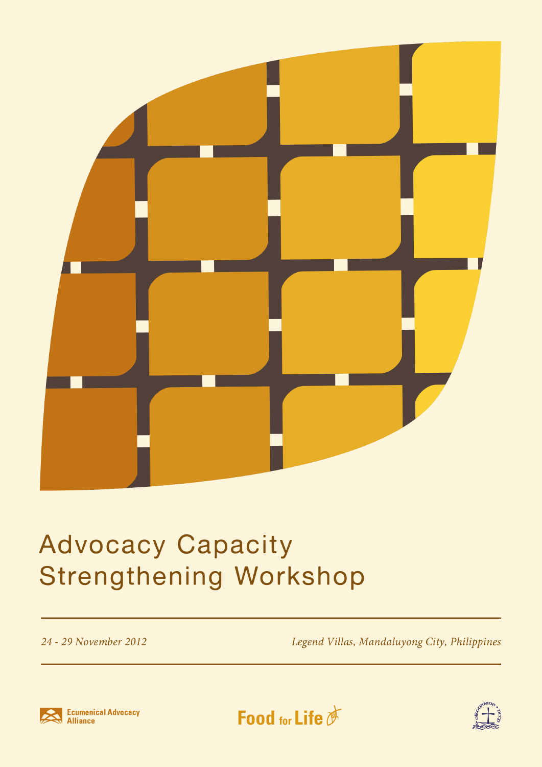

## **Advocacy Capacity Strengthening Workshop**

24 - 29 November 2012

Legend Villas, Mandaluyong City, Philippines





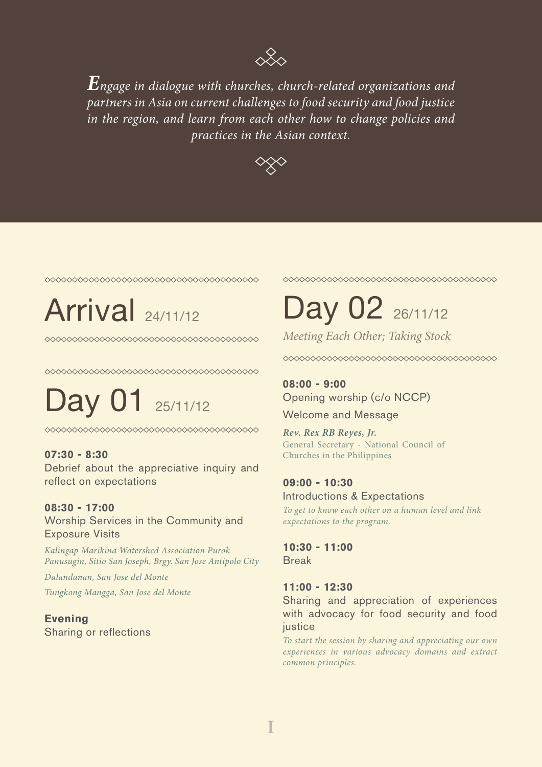

*Engage in dialogue with churches, church-related organizations and partners in Asia on current challenges to food security and food justice in the region, and learn from each other how to change policies and practices in the Asian context.*



◇◇◇◇◇◇◇◇◇◇◇◇◇◇◇◇◇◇◇◇◇◇◇◇◇◇◇◇◇◇◇◇◇◇◇◇◇◇

Day 01 25/11/12

#### **07:30 - 8:30**

Debrief about the appreciative inquiry and reflect on expectations

#### **08:30 - 17:00**

Worship Services in the Community and Exposure Visits

*Kalingap Marikina Watershed Association Purok Panusugin, Sitio San Joseph, Brgy. San Jose Antipolo City*

*Dalandanan, San Jose del Monte Tungkong Mangga, San Jose del Monte*

**Evening**  Sharing or reflections ## Arrival 24/11/12 Day 02 26/11/12

*Meeting Each Other; Taking Stock*

**08:00 - 9:00** Opening worship (c/o NCCP)

Welcome and Message

*Rev. Rex RB Reyes, Jr.* General Secretary - National Council of Churches in the Philippines

### **09:00 - 10:30**

Introductions & Expectations *To get to know each other on a human level and link expectations to the program.*

**10:30 - 11:00** Break

#### **11:00 - 12:30**

Sharing and appreciation of experiences with advocacy for food security and food justice

*To start the session by sharing and appreciating our own experiences in various advocacy domains and extract common principles.*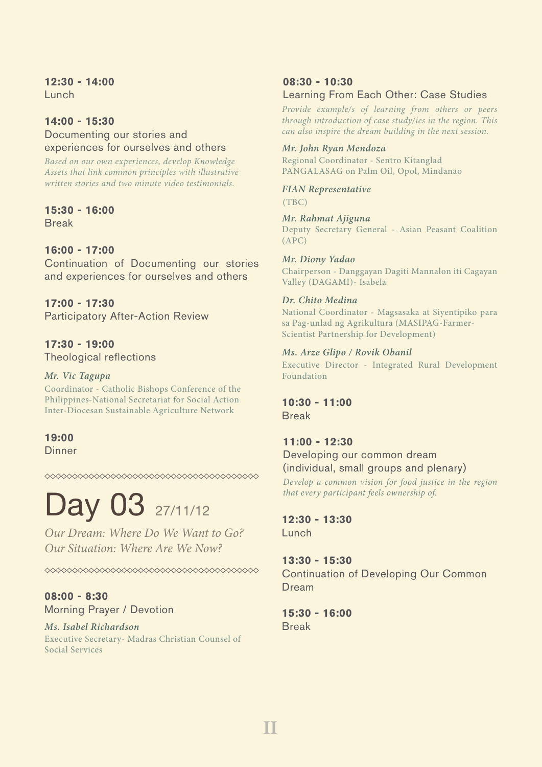## **12:30 - 14:00**

Lunch

#### **14:00 - 15:30**

Documenting our stories and experiences for ourselves and others

*Based on our own experiences, develop Knowledge Assets that link common principles with illustrative written stories and two minute video testimonials.*

### **15:30 - 16:00**

Break

#### **16:00 - 17:00**

Continuation of Documenting our stories and experiences for ourselves and others

#### **17:00 - 17:30** Participatory After-Action Review

**17:30 - 19:00** Theological reflections

#### *Mr. Vic Tagupa*

Coordinator - Catholic Bishops Conference of the Philippines-National Secretariat for Social Action Inter-Diocesan Sustainable Agriculture Network

#### **19:00 Dinner**

◇◇◇◇◇◇◇◇◇◇◇◇◇◇◇◇◇◇◇◇◇◇◇◇◇◇◇◇◇◇◇◇◇◇◇◇◇◇

# Day 03 27/11/12

*Our Dream: Where Do We Want to Go? Our Situation: Where Are We Now?*

**08:00 - 8:30**  Morning Prayer / Devotion

## *Ms. Isabel Richardson*

Executive Secretary- Madras Christian Counsel of Social Services

#### **08:30 - 10:30**  Learning From Each Other: Case Studies

*Provide example/s of learning from others or peers through introduction of case study/ies in the region. This can also inspire the dream building in the next session.*

#### *Mr. John Ryan Mendoza*

Regional Coordinator - Sentro Kitanglad PANGALASAG on Palm Oil, Opol, Mindanao

*FIAN Representative* (TBC)

#### *Mr. Rahmat Ajiguna*

Deputy Secretary General - Asian Peasant Coalition (APC)

#### *Mr. Diony Yadao*

Chairperson - Danggayan Dagiti Mannalon iti Cagayan Valley (DAGAMI)- Isabela

#### *Dr. Chito Medina*

National Coordinator - Magsasaka at Siyentipiko para sa Pag-unlad ng Agrikultura (MASIPAG-Farmer-Scientist Partnership for Development)

#### *Ms. Arze Glipo / Rovik Obanil*

Executive Director - Integrated Rural Development Foundation

### **10:30 - 11:00**

Break

#### **11:00 - 12:30**

#### Developing our common dream (individual, small groups and plenary)

*Develop a common vision for food justice in the region that every participant feels ownership of.*

### **12:30 - 13:30**

Lunch

#### **13:30 - 15:30**

Continuation of Developing Our Common Dream

#### **15:30 - 16:00** Break